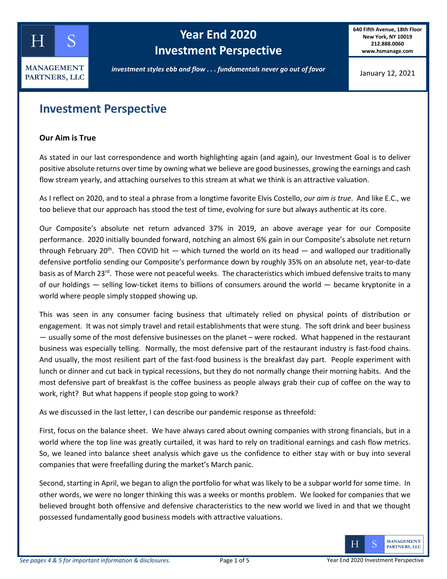

# **Year End 2020 Investment Perspective**

**640 Fifth Avenue, 18th Floor New York, NY 10019 212.888.0060 www.hsmanage.com**

January 12, 2021

### **Investment Perspective**

#### **Our Aim is True**

As stated in our last correspondence and worth highlighting again (and again), our Investment Goal is to deliver positive absolute returns over time by owning what we believe are good businesses, growing the earnings and cash flow stream yearly, and attaching ourselves to this stream at what we think is an attractive valuation.

As I reflect on 2020, and to steal a phrase from a longtime favorite Elvis Costello, *our aim is true*. And like E.C., we too believe that our approach has stood the test of time, evolving for sure but always authentic at its core.

Our Composite's absolute net return advanced 37% in 2019, an above average year for our Composite performance. 2020 initially bounded forward, notching an almost 6% gain in our Composite's absolute net return through February 20<sup>th</sup>. Then COVID hit — which turned the world on its head — and walloped our traditionally defensive portfolio sending our Composite's performance down by roughly 35% on an absolute net, year-to-date basis as of March 23<sup>rd</sup>. Those were not peaceful weeks. The characteristics which imbued defensive traits to many of our holdings — selling low-ticket items to billions of consumers around the world — became kryptonite in a world where people simply stopped showing up.

This was seen in any consumer facing business that ultimately relied on physical points of distribution or engagement. It was not simply travel and retail establishments that were stung. The soft drink and beer business — usually some of the most defensive businesses on the planet – were rocked. What happened in the restaurant business was especially telling. Normally, the most defensive part of the restaurant industry is fast-food chains. And usually, the most resilient part of the fast-food business is the breakfast day part. People experiment with lunch or dinner and cut back in typical recessions, but they do not normally change their morning habits. And the most defensive part of breakfast is the coffee business as people always grab their cup of coffee on the way to work, right? But what happens if people stop going to work?

As we discussed in the last letter, I can describe our pandemic response as threefold:

First, focus on the balance sheet. We have always cared about owning companies with strong financials, but in a world where the top line was greatly curtailed, it was hard to rely on traditional earnings and cash flow metrics. So, we leaned into balance sheet analysis which gave us the confidence to either stay with or buy into several companies that were freefalling during the market's March panic.

Second, starting in April, we began to align the portfolio for what was likely to be a subpar world for some time. In other words, we were no longer thinking this was a weeks or months problem. We looked for companies that we believed brought both offensive and defensive characteristics to the new world we lived in and that we thought possessed fundamentally good business models with attractive valuations.

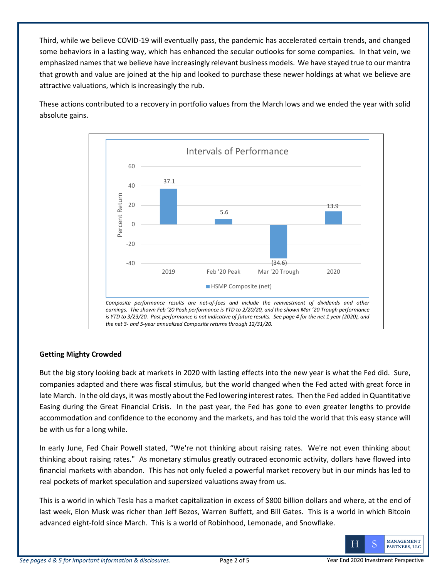Third, while we believe COVID-19 will eventually pass, the pandemic has accelerated certain trends, and changed some behaviors in a lasting way, which has enhanced the secular outlooks for some companies. In that vein, we emphasized names that we believe have increasingly relevant business models. We have stayed true to our mantra that growth and value are joined at the hip and looked to purchase these newer holdings at what we believe are attractive valuations, which is increasingly the rub.

These actions contributed to a recovery in portfolio values from the March lows and we ended the year with solid absolute gains.



### **Getting Mighty Crowded**

But the big story looking back at markets in 2020 with lasting effects into the new year is what the Fed did. Sure, companies adapted and there was fiscal stimulus, but the world changed when the Fed acted with great force in late March. In the old days, it was mostly about the Fed lowering interest rates. Then the Fed added in Quantitative Easing during the Great Financial Crisis. In the past year, the Fed has gone to even greater lengths to provide accommodation and confidence to the economy and the markets, and has told the world that this easy stance will be with us for a long while.

In early June, Fed Chair Powell stated, "We're not thinking about raising rates. We're not even thinking about thinking about raising rates." As monetary stimulus greatly outraced economic activity, dollars have flowed into financial markets with abandon. This has not only fueled a powerful market recovery but in our minds has led to real pockets of market speculation and supersized valuations away from us.

This is a world in which Tesla has a market capitalization in excess of \$800 billion dollars and where, at the end of last week, Elon Musk was richer than Jeff Bezos, Warren Buffett, and Bill Gates. This is a world in which Bitcoin advanced eight-fold since March. This is a world of Robinhood, Lemonade, and Snowflake.

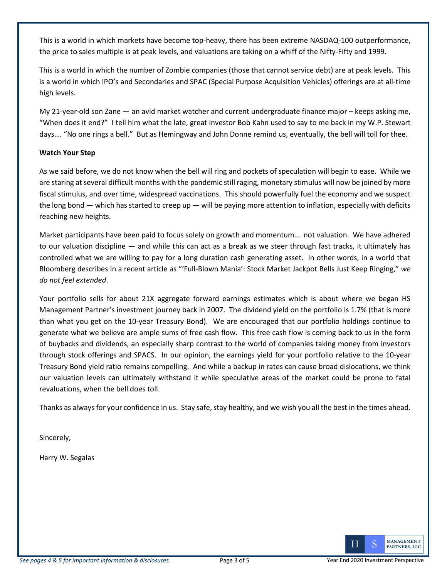This is a world in which markets have become top-heavy, there has been extreme NASDAQ-100 outperformance, the price to sales multiple is at peak levels, and valuations are taking on a whiff of the Nifty-Fifty and 1999.

This is a world in which the number of Zombie companies (those that cannot service debt) are at peak levels. This is a world in which IPO's and Secondaries and SPAC (Special Purpose Acquisition Vehicles) offerings are at all-time high levels.

My 21-year-old son Zane — an avid market watcher and current undergraduate finance major – keeps asking me, "When does it end?" I tell him what the late, great investor Bob Kahn used to say to me back in my W.P. Stewart days…. "No one rings a bell." But as Hemingway and John Donne remind us, eventually, the bell will toll for thee.

### **Watch Your Step**

As we said before, we do not know when the bell will ring and pockets of speculation will begin to ease. While we are staring at several difficult months with the pandemic still raging, monetary stimulus will now be joined by more fiscal stimulus, and over time, widespread vaccinations. This should powerfully fuel the economy and we suspect the long bond  $-$  which has started to creep up  $-$  will be paying more attention to inflation, especially with deficits reaching new heights.

Market participants have been paid to focus solely on growth and momentum…. not valuation. We have adhered to our valuation discipline — and while this can act as a break as we steer through fast tracks, it ultimately has controlled what we are willing to pay for a long duration cash generating asset. In other words, in a world that Bloomberg describes in a recent article as "'Full-Blown Mania': Stock Market Jackpot Bells Just Keep Ringing," *we do not feel extended*.

Your portfolio sells for about 21X aggregate forward earnings estimates which is about where we began HS Management Partner's investment journey back in 2007. The dividend yield on the portfolio is 1.7% (that is more than what you get on the 10-year Treasury Bond). We are encouraged that our portfolio holdings continue to generate what we believe are ample sums of free cash flow. This free cash flow is coming back to us in the form of buybacks and dividends, an especially sharp contrast to the world of companies taking money from investors through stock offerings and SPACS. In our opinion, the earnings yield for your portfolio relative to the 10-year Treasury Bond yield ratio remains compelling. And while a backup in rates can cause broad dislocations, we think our valuation levels can ultimately withstand it while speculative areas of the market could be prone to fatal revaluations, when the bell does toll.

Thanks as always for your confidence in us. Stay safe, stay healthy, and we wish you all the best in the times ahead.

Sincerely,

Harry W. Segalas

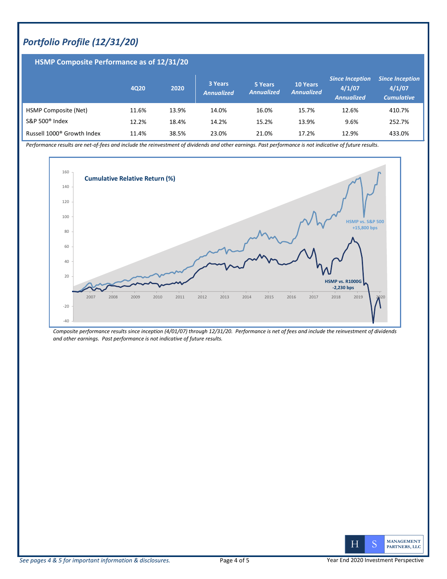## *Portfolio Profile (12/31/20)*

| <b>HSMP Composite Performance as of 12/31/20</b> |       |       |                              |                              |                                      |                                                       |                                                       |
|--------------------------------------------------|-------|-------|------------------------------|------------------------------|--------------------------------------|-------------------------------------------------------|-------------------------------------------------------|
|                                                  | 4020  | 2020  | 3 Years<br><b>Annualized</b> | 5 Years<br><b>Annualized</b> | <b>10 Years</b><br><b>Annualized</b> | <b>Since Inception</b><br>4/1/07<br><b>Annualized</b> | <b>Since Inception</b><br>4/1/07<br><b>Cumulative</b> |
| HSMP Composite (Net)                             | 11.6% | 13.9% | 14.0%                        | 16.0%                        | 15.7%                                | 12.6%                                                 | 410.7%                                                |
| S&P 500 <sup>®</sup> Index                       | 12.2% | 18.4% | 14.2%                        | 15.2%                        | 13.9%                                | 9.6%                                                  | 252.7%                                                |
| Russell 1000 <sup>®</sup> Growth Index           | 11.4% | 38.5% | 23.0%                        | 21.0%                        | 17.2%                                | 12.9%                                                 | 433.0%                                                |

*Performance results are net-of-fees and include the reinvestment of dividends and other earnings. Past performance is not indicative of future results.* 



*Composite performance results since inception (4/01/07) through 12/31/20. Performance is net of fees and include the reinvestment of dividends and other earnings. Past performance is not indicative of future results.*